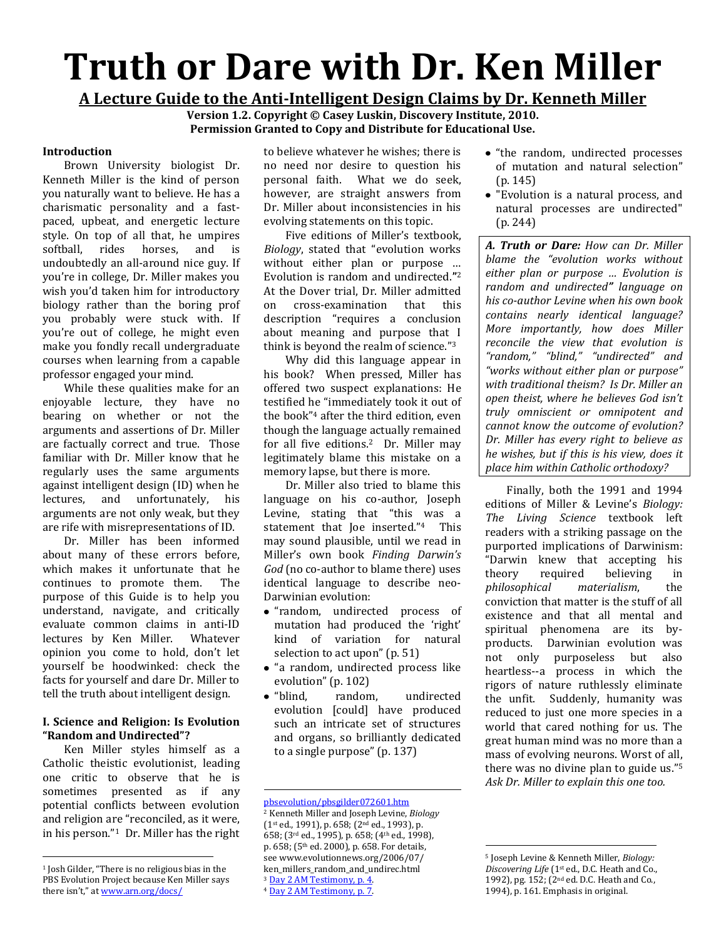# **Truth or Dare with Dr. Ken Miller**

**A Lecture Guide to the Anti-Intelligent Design Claims by Dr. Kenneth Miller** 

**Version 1.2. Copyright © Casey Luskin, Discovery Institute, 2010. Permission Granted to Copy and Distribute for Educational Use.**

## **Introduction**

Brown University biologist Dr. Kenneth Miller is the kind of person you naturally want to believe. He has a charismatic personality and a fastpaced, upbeat, and energetic lecture style. On top of all that, he umpires softball, rides horses, and is undoubtedly an all-around nice guy. If you're in college, Dr. Miller makes you wish you'd taken him for introductory biology rather than the boring prof you probably were stuck with. If you're out of college, he might even make you fondly recall undergraduate courses when learning from a capable professor engaged your mind.

While these qualities make for an enjoyable lecture, they have no bearing on whether or not the arguments and assertions of Dr. Miller are factually correct and true. Those familiar with Dr. Miller know that he regularly uses the same arguments against intelligent design (ID) when he lectures, and unfortunately, his arguments are not only weak, but they are rife with misrepresentations of ID.

Dr. Miller has been informed about many of these errors before, which makes it unfortunate that he continues to promote them. The purpose of this Guide is to help you understand, navigate, and critically evaluate common claims in anti-ID lectures by Ken Miller. Whatever opinion you come to hold, don't let yourself be hoodwinked: check the facts for yourself and dare Dr. Miller to tell the truth about intelligent design.

# **I. Science and Religion: Is Evolution "Random and Undirected"?**

Ken Miller styles himself as a Catholic theistic evolutionist, leading one critic to observe that he is sometimes presented as if any potential conflicts between evolution and religion are "reconciled, as it were, in his person."1 Dr. Miller has the right

 $\overline{\phantom{a}}$ 

to believe whatever he wishes; there is no need nor desire to question his personal faith. What we do seek, however, are straight answers from Dr. Miller about inconsistencies in his evolving statements on this topic.

Five editions of Miller's textbook, *Biology*, stated that "evolution works without either plan or purpose … Evolution is random and undirected.**"** 2 At the Dover trial, Dr. Miller admitted on cross-examination that this description "requires a conclusion about meaning and purpose that I think is beyond the realm of science."<sup>3</sup>

Why did this language appear in his book? When pressed, Miller has offered two suspect explanations: He testified he "immediately took it out of the book" <sup>4</sup> after the third edition, even though the language actually remained for all five editions.2 Dr. Miller may legitimately blame this mistake on a memory lapse, but there is more.

Dr. Miller also tried to blame this language on his co-author, Joseph Levine, stating that "this was a statement that Joe inserted."4 This may sound plausible, until we read in Miller's own book *Finding Darwin's God* (no co-author to blame there) uses identical language to describe neo-Darwinian evolution:

- "random, undirected process of mutation had produced the 'right' kind of variation for natural selection to act upon" (p. 51)
- "a random, undirected process like evolution" (p. 102)
- "blind, random, undirected evolution [could] have produced such an intricate set of structures and organs, so brilliantly dedicated to a single purpose" (p. 137)

l [pbsevolution/pbsgilder072601.htm](http://www.arn.org/docs/pbsevolution/pbsgilder072601.htm) <sup>2</sup> Kenneth Miller and Joseph Levine, *Biology* (1st ed., 1991), p. 658; (2nd ed., 1993), p. 658; (3rd ed., 1995), p. 658; (4th ed., 1998), p. 658; (5th ed. 2000), p. 658. For details, see www.evolutionnews.org/2006/07/ ken\_millers\_random\_and\_undirec.html <sup>3</sup> [Day 2 AM Testimony, p. 4.](http://www.talkorigins.org/faqs/dover/day2am.html) <sup>4</sup> [Day 2 AM Testimony, p. 7.](http://www.talkorigins.org/faqs/dover/day2am.html)

- "the random, undirected processes of mutation and natural selection" (p. 145)
- "Evolution is a natural process, and natural processes are undirected" (p. 244)

*A. Truth or Dare: How can Dr. Miller blame the "evolution works without either plan or purpose … Evolution is random and undirected" language on his co-author Levine when his own book contains nearly identical language? More importantly, how does Miller reconcile the view that evolution is "random," "blind," "undirected" and "works without either plan or purpose" with traditional theism? Is Dr. Miller an open theist, where he believes God isn't truly omniscient or omnipotent and cannot know the outcome of evolution? Dr. Miller has every right to believe as he wishes, but if this is his view, does it place him within Catholic orthodoxy?* 

Finally, both the 1991 and 1994 editions of Miller & Levine's *Biology: The Living Science* textbook left readers with a striking passage on the purported implications of Darwinism: "Darwin knew that accepting his theory required believing in *philosophical materialism*, the conviction that matter is the stuff of all existence and that all mental and spiritual phenomena are its byproducts. Darwinian evolution was not only purposeless but also heartless--a process in which the rigors of nature ruthlessly eliminate the unfit. Suddenly, humanity was reduced to just one more species in a world that cared nothing for us. The great human mind was no more than a mass of evolving neurons. Worst of all, there was no divine plan to guide us." 5 *Ask Dr. Miller to explain this one too.*

 $\ddot{\phantom{a}}$ 

<sup>1</sup> Josh Gilder, "There is no religious bias in the PBS Evolution Project because Ken Miller says there isn't," at [www.arn.org/docs/](http://www.arn.org/docs/pbsevolution/pbsgilder072601.htm)

<sup>5</sup> Joseph Levine & Kenneth Miller, *Biology: Discovering Life* (1st ed., D.C. Heath and Co., 1992), pg. 152; (2nd ed. D.C. Heath and Co., 1994), p. 161. Emphasis in original.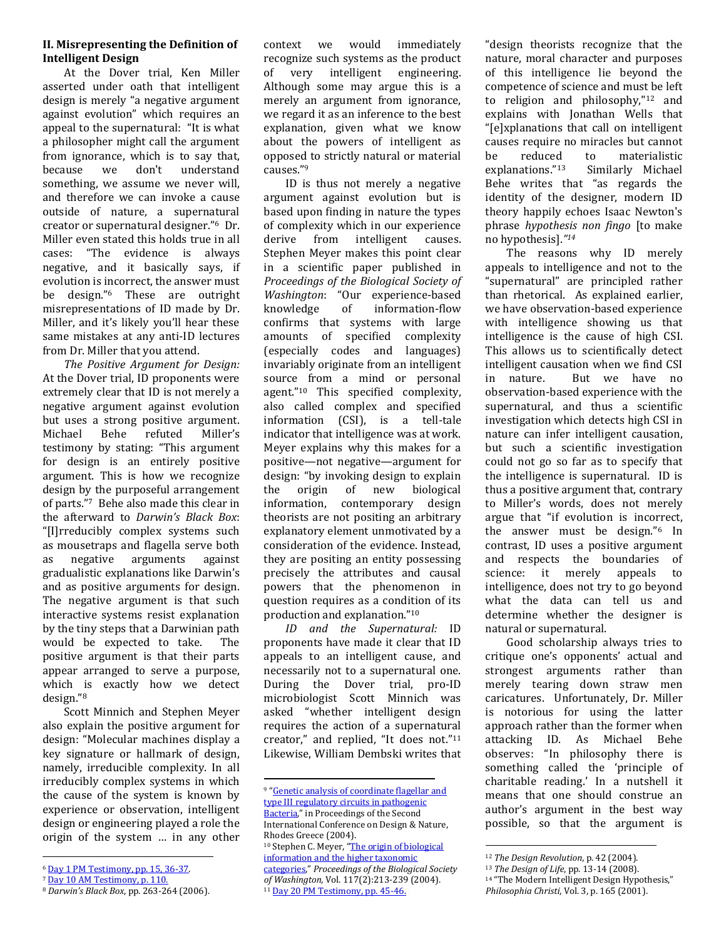## **II. Misrepresenting the Definition of Intelligent Design**

At the Dover trial, Ken Miller asserted under oath that intelligent design is merely "a negative argument against evolution" which requires an appeal to the supernatural: "It is what a philosopher might call the argument from ignorance, which is to say that, because we don't understand something, we assume we never will, and therefore we can invoke a cause outside of nature, a supernatural creator or supernatural designer."6 Dr. Miller even stated this holds true in all cases: "The evidence is always negative, and it basically says, if evolution is incorrect, the answer must be design."<sup>6</sup> These are outright misrepresentations of ID made by Dr. Miller, and it's likely you'll hear these same mistakes at any anti-ID lectures from Dr. Miller that you attend.

*The Positive Argument for Design:*  At the Dover trial, ID proponents were extremely clear that ID is not merely a negative argument against evolution but uses a strong positive argument. Michael Behe refuted Miller's testimony by stating: "This argument for design is an entirely positive argument. This is how we recognize design by the purposeful arrangement of parts."7 Behe also made this clear in the afterward to *Darwin's Black Box*: "[I]rreducibly complex systems such as mousetraps and flagella serve both as negative arguments against gradualistic explanations like Darwin's and as positive arguments for design. The negative argument is that such interactive systems resist explanation by the tiny steps that a Darwinian path would be expected to take. The positive argument is that their parts appear arranged to serve a purpose, which is exactly how we detect design."<sup>8</sup>

Scott Minnich and Stephen Meyer also explain the positive argument for design: "Molecular machines display a key signature or hallmark of design, namely, irreducible complexity. In all irreducibly complex systems in which the cause of the system is known by experience or observation, intelligent design or engineering played a role the origin of the system … in any other context we would immediately recognize such systems as the product of very intelligent engineering. Although some may argue this is a merely an argument from ignorance, we regard it as an inference to the best explanation, given what we know about the powers of intelligent as opposed to strictly natural or material causes."<sup>9</sup>

ID is thus not merely a negative argument against evolution but is based upon finding in nature the types of complexity which in our experience derive from intelligent causes. Stephen Meyer makes this point clear in a scientific paper published in *Proceedings of the Biological Society of Washington*: "Our experience-based knowledge of information-flow confirms that systems with large amounts of specified complexity (especially codes and languages) invariably originate from an intelligent source from a mind or personal agent."<sup>10</sup> This specified complexity, also called complex and specified information (CSI), is a tell-tale indicator that intelligence was at work. Meyer explains why this makes for a positive—not negative—argument for design: "by invoking design to explain the origin of new biological information, contemporary design theorists are not positing an arbitrary explanatory element unmotivated by a consideration of the evidence. Instead, they are positing an entity possessing precisely the attributes and causal powers that the phenomenon in question requires as a condition of its production and explanation."<sup>10</sup>

*ID and the Supernatural:* ID proponents have made it clear that ID appeals to an intelligent cause, and necessarily not to a supernatural one. During the Dover trial, pro-ID microbiologist Scott Minnich was asked "whether intelligent design requires the action of a supernatural creator," and replied, "It does not."<sup>11</sup> Likewise, William Dembski writes that

<sup>10</sup> Stephen C. Meyer, "The origin of biological [information and the higher taxonomic](http://www.discovery.org/a/2177)  [categories](http://www.discovery.org/a/2177)," *Proceedings of the Biological Society of Washington*, Vol. 117(2):213-239 (2004).

<sup>11</sup> [Day 20 PM Testimony, pp. 45-46.](http://www.talkorigins.org/faqs/dover/day10am2.html)

l

"design theorists recognize that the nature, moral character and purposes of this intelligence lie beyond the competence of science and must be left to religion and philosophy," <sup>12</sup> and explains with Jonathan Wells that "[e]xplanations that call on intelligent causes require no miracles but cannot be reduced to materialistic explanations."13 Similarly Michael Behe writes that "as regards the identity of the designer, modern ID theory happily echoes Isaac Newton's phrase *hypothesis non fingo* [to make no hypothesis].*" 14* 

The reasons why ID merely appeals to intelligence and not to the "supernatural" are principled rather than rhetorical. As explained earlier, we have observation-based experience with intelligence showing us that intelligence is the cause of high CSI. This allows us to scientifically detect intelligent causation when we find CSI in nature. But we have no observation-based experience with the supernatural, and thus a scientific investigation which detects high CSI in nature can infer intelligent causation, but such a scientific investigation could not go so far as to specify that the intelligence is supernatural. ID is thus a positive argument that, contrary to Miller's words, does not merely argue that "if evolution is incorrect, the answer must be design."<sup>6</sup> In contrast, ID uses a positive argument and respects the boundaries of science: it merely appeals to intelligence, does not try to go beyond what the data can tell us and determine whether the designer is natural or supernatural.

Good scholarship always tries to critique one's opponents' actual and strongest arguments rather than merely tearing down straw men caricatures. Unfortunately, Dr. Miller is notorious for using the latter approach rather than the former when attacking ID. As Michael Behe observes: "In philosophy there is something called the 'principle of charitable reading.' In a nutshell it means that one should construe an author's argument in the best way possible, so that the argument is

 $\ddot{\phantom{a}}$ 

 $\overline{\phantom{a}}$ <sup>6</sup> [Day 1 PM Testimony, pp. 15, 36-37.](http://www.talkorigins.org/faqs/dover/day1pm.html)

<sup>7</sup> [Day 10 AM Testimony, p. 110.](http://www.talkorigins.org/faqs/dover/day10am2.html)

<sup>8</sup> *Darwin's Black Box*, pp. 263-264 (2006).

<sup>9</sup> "[Genetic analysis of coordinate flagellar and](http://www.discovery.org/scripts/viewDB/filesDB-download.php?id=389)  [type III regulatory circuits in pathogenic](http://www.discovery.org/scripts/viewDB/filesDB-download.php?id=389)  [Bacteria](http://www.discovery.org/scripts/viewDB/filesDB-download.php?id=389)," in Proceedings of the Second International Conference on Design & Nature, Rhodes Greece (2004).

<sup>12</sup> *The Design Revolution*, p. 42 (2004).

<sup>13</sup> *The Design of Life*, pp. 13-14 (2008).

<sup>14</sup> "The Modern Intelligent Design Hypothesis," *Philosophia Christi*, Vol. 3, p. 165 (2001).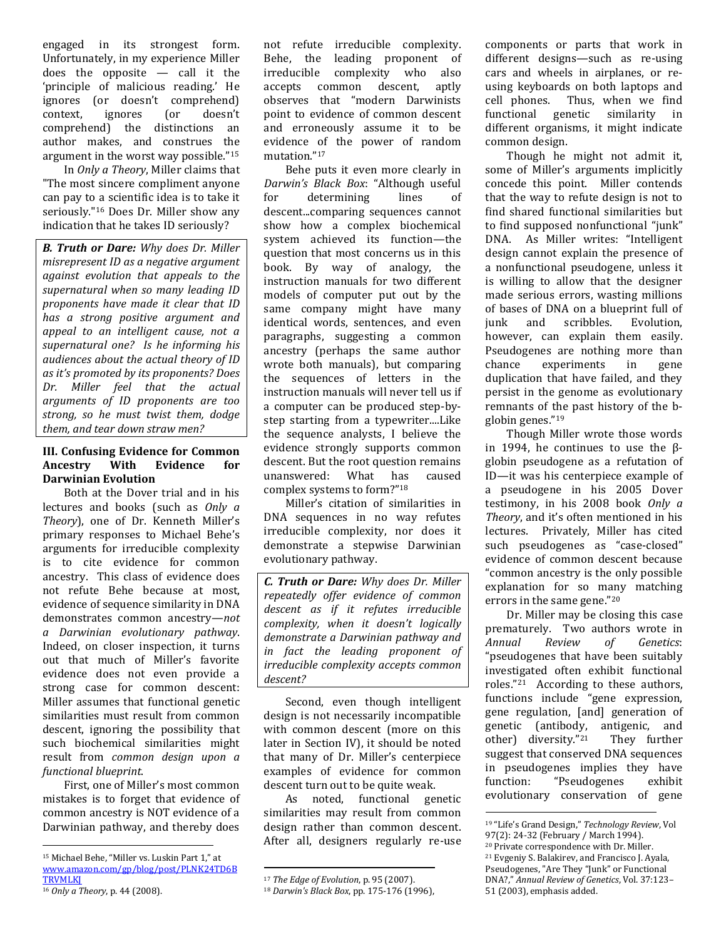engaged in its strongest form. Unfortunately, in my experience Miller does the opposite  $-$  call it the 'principle of malicious reading.' He ignores (or doesn't comprehend) context, ignores (or doesn't comprehend) the distinctions an author makes, and construes the argument in the worst way possible."<sup>15</sup>

In *Only a Theory*, Miller claims that "The most sincere compliment anyone can pay to a scientific idea is to take it seriously." <sup>16</sup> Does Dr. Miller show any indication that he takes ID seriously?

*B. Truth or Dare: Why does Dr. Miller misrepresent ID as a negative argument against evolution that appeals to the supernatural when so many leading ID proponents have made it clear that ID has a strong positive argument and appeal to an intelligent cause, not a supernatural one? Is he informing his audiences about the actual theory of ID as it's promoted by its proponents? Does Dr. Miller feel that the actual arguments of ID proponents are too strong, so he must twist them, dodge them, and tear down straw men?* 

## **III. Confusing Evidence for Common Ancestry With Evidence for Darwinian Evolution**

Both at the Dover trial and in his lectures and books (such as *Only a Theory*), one of Dr. Kenneth Miller's primary responses to Michael Behe's arguments for irreducible complexity is to cite evidence for common ancestry. This class of evidence does not refute Behe because at most, evidence of sequence similarity in DNA demonstrates common ancestry—*not a Darwinian evolutionary pathway*. Indeed, on closer inspection, it turns out that much of Miller's favorite evidence does not even provide a strong case for common descent: Miller assumes that functional genetic similarities must result from common descent, ignoring the possibility that such biochemical similarities might result from *common design upon a functional blueprint*.

First, one of Miller's most common mistakes is to forget that evidence of common ancestry is NOT evidence of a Darwinian pathway, and thereby does not refute irreducible complexity. Behe, the leading proponent of irreducible complexity who also accepts common descent, aptly observes that "modern Darwinists point to evidence of common descent and erroneously assume it to be evidence of the power of random mutation." 17

Behe puts it even more clearly in *Darwin's Black Box*: "Although useful for determining lines of descent...comparing sequences cannot show how a complex biochemical system achieved its function—the question that most concerns us in this book. By way of analogy, the instruction manuals for two different models of computer put out by the same company might have many identical words, sentences, and even paragraphs, suggesting a common ancestry (perhaps the same author wrote both manuals), but comparing the sequences of letters in the instruction manuals will never tell us if a computer can be produced step-bystep starting from a typewriter....Like the sequence analysts, I believe the evidence strongly supports common descent. But the root question remains unanswered: What has caused complex systems to form?" 18

Miller's citation of similarities in DNA sequences in no way refutes irreducible complexity, nor does it demonstrate a stepwise Darwinian evolutionary pathway.

*C. Truth or Dare: Why does Dr. Miller repeatedly offer evidence of common descent as if it refutes irreducible complexity, when it doesn't logically demonstrate a Darwinian pathway and in fact the leading proponent of irreducible complexity accepts common descent?* 

Second, even though intelligent design is not necessarily incompatible with common descent (more on this later in Section IV), it should be noted that many of Dr. Miller's centerpiece examples of evidence for common descent turn out to be quite weak.

As noted, functional genetic similarities may result from common design rather than common descent. After all, designers regularly re-use

 $\overline{\phantom{a}}$ 

components or parts that work in different designs—such as re-using cars and wheels in airplanes, or reusing keyboards on both laptops and cell phones. Thus, when we find functional genetic similarity in different organisms, it might indicate common design.

Though he might not admit it, some of Miller's arguments implicitly concede this point. Miller contends that the way to refute design is not to find shared functional similarities but to find supposed nonfunctional "junk" DNA. As Miller writes: "Intelligent design cannot explain the presence of a nonfunctional pseudogene, unless it is willing to allow that the designer made serious errors, wasting millions of bases of DNA on a blueprint full of junk and scribbles. Evolution, however, can explain them easily. Pseudogenes are nothing more than chance experiments in gene duplication that have failed, and they persist in the genome as evolutionary remnants of the past history of the bglobin genes."<sup>19</sup>

Though Miller wrote those words in 1994, he continues to use the βglobin pseudogene as a refutation of ID—it was his centerpiece example of a pseudogene in his 2005 Dover testimony, in his 2008 book *Only a Theory*, and it's often mentioned in his lectures. Privately, Miller has cited such pseudogenes as "case-closed" evidence of common descent because "common ancestry is the only possible explanation for so many matching errors in the same gene." 20

Dr. Miller may be closing this case prematurely. Two authors wrote in *Annual Review of Genetics*: "pseudogenes that have been suitably investigated often exhibit functional roles." <sup>21</sup> According to these authors, functions include "gene expression, gene regulation, [and] generation of genetic (antibody, antigenic, and other) diversity."21 They further suggest that conserved DNA sequences in pseudogenes implies they have function: "Pseudogenes exhibit evolutionary conservation of gene

 $\overline{a}$ <sup>15</sup> Michael Behe, "Miller vs. Luskin Part 1," at [www.amazon.com/gp/blog/post/PLNK24TD6B](http://www.amazon.com/gp/blog/post/PLNK24TD6BTRVMLKJ) **TRVMLKI** <sup>16</sup> *Only a Theory*, p. 44 (2008).

<sup>17</sup> *The Edge of Evolution*, p. 95 (2007).

<sup>18</sup> *Darwin's Black Box*, pp. 175-176 (1996),

 $\overline{a}$ <sup>19</sup> "Life's Grand Design," *Technology Review*, Vol 97(2): 24-32 (February / March 1994).

<sup>&</sup>lt;sup>20</sup> Private correspondence with Dr. Miller.

<sup>21</sup> Evgeniy S. Balakirev, and Francisco J. Ayala, Pseudogenes, "Are They "Junk" or Functional DNA?," *Annual Review of Genetics*, Vol. 37:123–

<sup>51 (2003),</sup> emphasis added.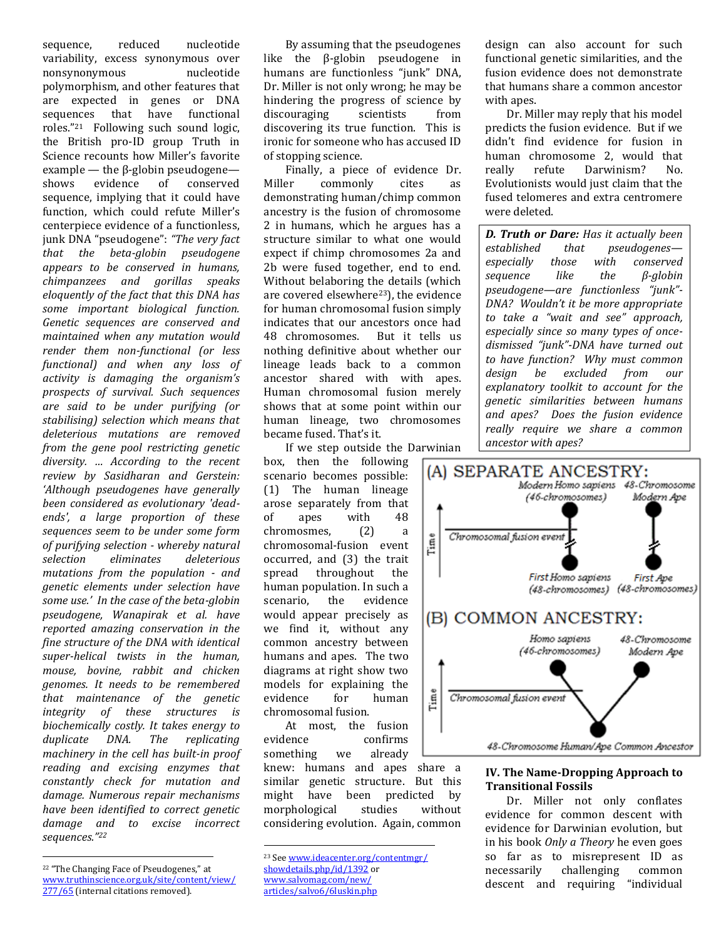sequence, reduced nucleotide variability, excess synonymous over nonsynonymous nucleotide polymorphism, and other features that are expected in genes or DNA sequences that have functional roles."21 Following such sound logic, the British pro-ID group Truth in Science recounts how Miller's favorite example — the β-globin pseudogene shows evidence of conserved sequence, implying that it could have function, which could refute Miller's centerpiece evidence of a functionless, junk DNA "pseudogene": *"The very fact that the beta-globin pseudogene appears to be conserved in humans, chimpanzees and gorillas speaks eloquently of the fact that this DNA has some important biological function. Genetic sequences are conserved and maintained when any mutation would render them non-functional (or less functional) and when any loss of activity is damaging the organism's prospects of survival. Such sequences are said to be under purifying (or stabilising) selection which means that deleterious mutations are removed from the gene pool restricting genetic diversity. … According to the recent review by Sasidharan and Gerstein: 'Although pseudogenes have generally been considered as evolutionary 'deadends', a large proportion of these sequences seem to be under some form of purifying selection - whereby natural selection eliminates deleterious mutations from the population - and genetic elements under selection have some use.' In the case of the beta-globin pseudogene, Wanapirak et al. have reported amazing conservation in the fine structure of the DNA with identical super-helical twists in the human, mouse, bovine, rabbit and chicken genomes. It needs to be remembered that maintenance of the genetic integrity of these structures is biochemically costly. It takes energy to duplicate DNA. The replicating machinery in the cell has built-in proof reading and excising enzymes that constantly check for mutation and damage. Numerous repair mechanisms have been identified to correct genetic damage and to excise incorrect sequences."<sup>22</sup>*

By assuming that the pseudogenes like the β-globin pseudogene in humans are functionless "junk" DNA, Dr. Miller is not only wrong; he may be hindering the progress of science by discouraging scientists from discovering its true function. This is ironic for someone who has accused ID of stopping science.

Finally, a piece of evidence Dr. Miller commonly cites as demonstrating human/chimp common ancestry is the fusion of chromosome 2 in humans, which he argues has a structure similar to what one would expect if chimp chromosomes 2a and 2b were fused together, end to end. Without belaboring the details (which are covered elsewhere<sup>23</sup>), the evidence for human chromosomal fusion simply indicates that our ancestors once had 48 chromosomes. But it tells us nothing definitive about whether our lineage leads back to a common ancestor shared with with apes. Human chromosomal fusion merely shows that at some point within our human lineage, two chromosomes became fused. That's it.

If we step outside the Darwinian box, then the following scenario becomes possible:

(1) The human lineage arose separately from that of apes with 48 chromosmes, (2) a chromosomal-fusion event occurred, and (3) the trait spread throughout the human population. In such a scenario, the evidence would appear precisely as we find it, without any common ancestry between humans and apes. The two diagrams at right show two models for explaining the evidence for human chromosomal fusion.

At most, the fusion evidence confirms something we already knew: humans and apes share a similar genetic structure. But this might have been predicted by morphological studies without considering evolution. Again, common

[www.salvomag.com/new/](http://www.salvomag.com/new/articles/salvo6/6luskin.php)

 $\overline{a}$ 

design can also account for such functional genetic similarities, and the fusion evidence does not demonstrate that humans share a common ancestor with apes.

Dr. Miller may reply that his model predicts the fusion evidence. But if we didn't find evidence for fusion in human chromosome 2, would that really refute Darwinism? No. Evolutionists would just claim that the fused telomeres and extra centromere were deleted.

*D. Truth or Dare: Has it actually been established that pseudogenes especially those with conserved sequence like the β-globin pseudogene—are functionless "junk"- DNA? Wouldn't it be more appropriate to take a "wait and see" approach, especially since so many types of oncedismissed "junk"-DNA have turned out to have function? Why must common design be excluded from our explanatory toolkit to account for the genetic similarities between humans and apes? Does the fusion evidence really require we share a common ancestor with apes?*



## **IV. The Name-Dropping Approach to Transitional Fossils**

Dr. Miller not only conflates evidence for common descent with evidence for Darwinian evolution, but in his book *Only a Theory* he even goes so far as to misrepresent ID as necessarily challenging common descent and requiring "individual

 $\overline{\phantom{a}}$ <sup>22</sup> "The Changing Face of Pseudogenes," at [www.truthinscience.org.uk/site/content/view/](http://www.truthinscience.org.uk/site/content/view/277/65) [277/65](http://www.truthinscience.org.uk/site/content/view/277/65) (internal citations removed).

<sup>23</sup> Se[e www.ideacenter.org/contentmgr/](http://www.ideacenter.org/contentmgr/showdetails.php/id/1392) [showdetails.php/id/1392](http://www.ideacenter.org/contentmgr/showdetails.php/id/1392) or

[articles/salvo6/6luskin.php](http://www.salvomag.com/new/articles/salvo6/6luskin.php)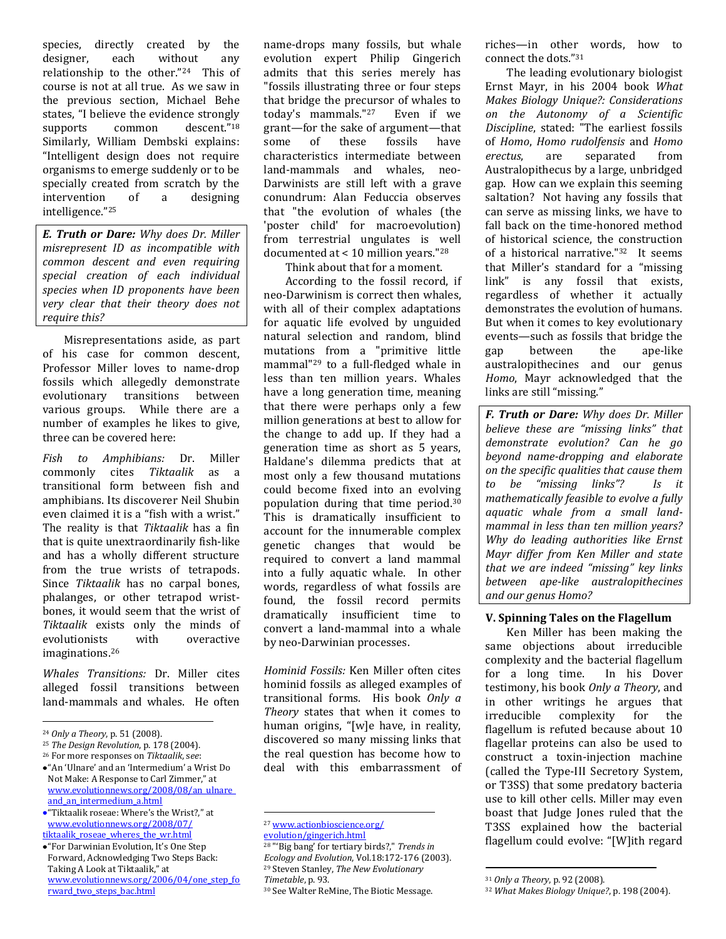species, directly created by the designer, each without any relationship to the other."24 This of course is not at all true. As we saw in the previous section, Michael Behe states, "I believe the evidence strongly supports common descent."18 Similarly, William Dembski explains: "Intelligent design does not require organisms to emerge suddenly or to be specially created from scratch by the intervention of a designing intelligence."<sup>25</sup>

*E. Truth or Dare: Why does Dr. Miller misrepresent ID as incompatible with common descent and even requiring special creation of each individual species when ID proponents have been very clear that their theory does not require this?*

Misrepresentations aside, as part of his case for common descent, Professor Miller loves to name-drop fossils which allegedly demonstrate evolutionary transitions between various groups. While there are a number of examples he likes to give, three can be covered here:

*Fish to Amphibians:* Dr. Miller commonly cites *Tiktaalik* as a transitional form between fish and amphibians. Its discoverer Neil Shubin even claimed it is a "fish with a wrist." The reality is that *Tiktaalik* has a fin that is quite unextraordinarily fish-like and has a wholly different structure from the true wrists of tetrapods. Since *Tiktaalik* has no carpal bones, phalanges, or other tetrapod wristbones, it would seem that the wrist of *Tiktaalik* exists only the minds of evolutionists with overactive imaginations.<sup>26</sup>

*Whales Transitions:* Dr. Miller cites alleged fossil transitions between land-mammals and whales. He often

 $\overline{\phantom{a}}$ 

<sup>26</sup> For more responses on *Tiktaalik*, s*ee*:

"For Darwinian Evolution, It's One Step Forward, Acknowledging Two Steps Back: Taking A Look at Tiktaalik," at [www.evolutionnews.org/2006/04/one\\_step\\_fo](http://www.evolutionnews.org/2006/04/one_step_forward_two_steps_bac.html) [rward\\_two\\_steps\\_bac.html](http://www.evolutionnews.org/2006/04/one_step_forward_two_steps_bac.html)

name-drops many fossils, but whale evolution expert Philip Gingerich admits that this series merely has "fossils illustrating three or four steps that bridge the precursor of whales to today's mammals."27 Even if we grant—for the sake of argument—that some of these fossils have characteristics intermediate between land-mammals and whales, neo-Darwinists are still left with a grave conundrum: Alan Feduccia observes that "the evolution of whales (the 'poster child' for macroevolution) from terrestrial ungulates is well documented at < 10 million years."<sup>28</sup> Think about that for a moment.

According to the fossil record, if neo-Darwinism is correct then whales, with all of their complex adaptations for aquatic life evolved by unguided natural selection and random, blind mutations from a "primitive little mammal"<sup>29</sup> to a full-fledged whale in less than ten million years. Whales have a long generation time, meaning that there were perhaps only a few million generations at best to allow for the change to add up. If they had a generation time as short as 5 years, Haldane's dilemma predicts that at most only a few thousand mutations could become fixed into an evolving population during that time period.<sup>30</sup> This is dramatically insufficient to account for the innumerable complex genetic changes that would be required to convert a land mammal into a fully aquatic whale. In other words, regardless of what fossils are found, the fossil record permits dramatically insufficient time to convert a land-mammal into a whale by neo-Darwinian processes.

*Hominid Fossils:* Ken Miller often cites hominid fossils as alleged examples of transitional forms. His book *Only a Theory* states that when it comes to human origins, "[w]e have, in reality, discovered so many missing links that the real question has become how to deal with this embarrassment of

l

riches—in other words, how to connect the dots."<sup>31</sup>

The leading evolutionary biologist Ernst Mayr, in his 2004 book *What Makes Biology Unique?: Considerations on the Autonomy of a Scientific Discipline*, stated: "The earliest fossils of *Homo*, *Homo rudolfensis* and *Homo erectus*, are separated from Australopithecus by a large, unbridged gap. How can we explain this seeming saltation? Not having any fossils that can serve as missing links, we have to fall back on the time-honored method of historical science, the construction of a historical narrative."32 It seems that Miller's standard for a "missing link" is any fossil that exists, regardless of whether it actually demonstrates the evolution of humans. But when it comes to key evolutionary events—such as fossils that bridge the gap between the ape-like australopithecines and our genus *Homo*, Mayr acknowledged that the links are still "missing."

*F. Truth or Dare: Why does Dr. Miller believe these are "missing links" that demonstrate evolution? Can he go beyond name-dropping and elaborate on the specific qualities that cause them to be "missing links"? Is it mathematically feasible to evolve a fully aquatic whale from a small landmammal in less than ten million years? Why do leading authorities like Ernst Mayr differ from Ken Miller and state that we are indeed "missing" key links between ape-like australopithecines and our genus Homo?* 

#### **V. Spinning Tales on the Flagellum**

Ken Miller has been making the same objections about irreducible complexity and the bacterial flagellum for a long time. In his Dover testimony, his book *Only a Theory*, and in other writings he argues that irreducible complexity for the flagellum is refuted because about 10 flagellar proteins can also be used to construct a toxin-injection machine (called the Type-III Secretory System, or T3SS) that some predatory bacteria use to kill other cells. Miller may even boast that Judge Jones ruled that the T3SS explained how the bacterial flagellum could evolve: "[W]ith regard

<sup>24</sup> *Only a Theory*, p. 51 (2008).

<sup>25</sup> *The Design Revolution*, p. 178 (2004).

<sup>&</sup>quot;An 'Ulnare' and an 'Intermedium' a Wrist Do Not Make: A Response to Carl Zimmer," at [www.evolutionnews.org/2008/08/an\\_ulnare\\_](http://www.evolutionnews.org/2008/08/an_ulnare_and_an_intermedium_a.html) and an intermedium a.html

<sup>&</sup>quot;Tiktaalik roseae: Where's the Wrist?," at [www.evolutionnews.org/2008/07/](http://www.evolutionnews.org/2008/07/tiktaalik_roseae_wheres_the_wr.html) tiktaalik roseae wheres the wr.html

<sup>27</sup> [www.actionbioscience.org/](http://www.actionbioscience.org/evolution/gingerich.html)

[evolution/gingerich.html](http://www.actionbioscience.org/evolution/gingerich.html)

<sup>28</sup> "'Big bang' for tertiary birds?," *Trends in Ecology and Evolution*, Vol.18:172-176 (2003). <sup>29</sup> Steven Stanley, *The New Evolutionary Timetable*, p. 93.

<sup>30</sup> See Walter ReMine, The Biotic Message.

 $\overline{a}$ <sup>31</sup> *Only a Theory*, p. 92 (2008).

<sup>32</sup> *What Makes Biology Unique?*, p. 198 (2004).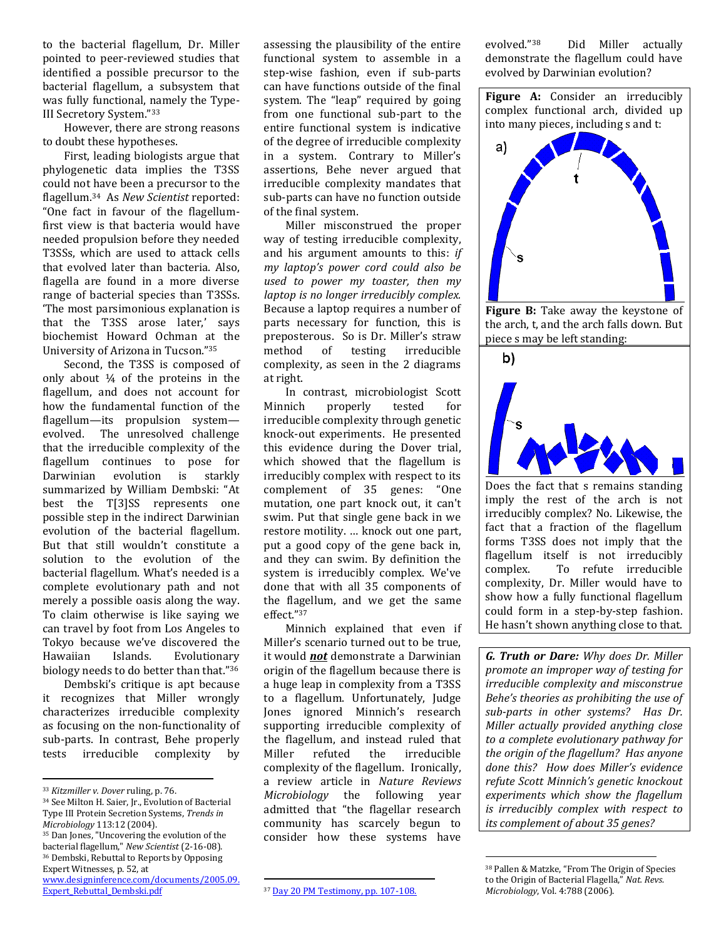to the bacterial flagellum, Dr. Miller pointed to peer-reviewed studies that identified a possible precursor to the bacterial flagellum, a subsystem that was fully functional, namely the Type-III Secretory System."<sup>33</sup>

However, there are strong reasons to doubt these hypotheses.

First, leading biologists argue that phylogenetic data implies the T3SS could not have been a precursor to the flagellum.34 As *New Scientist* reported: "One fact in favour of the flagellumfirst view is that bacteria would have needed propulsion before they needed T3SSs, which are used to attack cells that evolved later than bacteria. Also, flagella are found in a more diverse range of bacterial species than T3SSs. 'The most parsimonious explanation is that the T3SS arose later,' says biochemist Howard Ochman at the University of Arizona in Tucson."<sup>35</sup>

Second, the T3SS is composed of only about  $\frac{1}{4}$  of the proteins in the flagellum, and does not account for how the fundamental function of the flagellum—its propulsion system evolved. The unresolved challenge that the irreducible complexity of the flagellum continues to pose for Darwinian evolution is starkly summarized by William Dembski: "At best the T[3]SS represents one possible step in the indirect Darwinian evolution of the bacterial flagellum. But that still wouldn't constitute a solution to the evolution of the bacterial flagellum. What's needed is a complete evolutionary path and not merely a possible oasis along the way. To claim otherwise is like saying we can travel by foot from Los Angeles to Tokyo because we've discovered the Hawaiian Islands. Evolutionary biology needs to do better than that."<sup>36</sup>

Dembski's critique is apt because it recognizes that Miller wrongly characterizes irreducible complexity as focusing on the non-functionality of sub-parts. In contrast, Behe properly tests irreducible complexity by

l

assessing the plausibility of the entire functional system to assemble in a step-wise fashion, even if sub-parts can have functions outside of the final system. The "leap" required by going from one functional sub-part to the entire functional system is indicative of the degree of irreducible complexity in a system. Contrary to Miller's assertions, Behe never argued that irreducible complexity mandates that sub-parts can have no function outside of the final system.

Miller misconstrued the proper way of testing irreducible complexity, and his argument amounts to this: *if my laptop's power cord could also be used to power my toaster, then my laptop is no longer irreducibly complex.*  Because a laptop requires a number of parts necessary for function, this is preposterous. So is Dr. Miller's straw method of testing irreducible complexity, as seen in the 2 diagrams at right.

In contrast, microbiologist Scott Minnich properly tested for irreducible complexity through genetic knock-out experiments. He presented this evidence during the Dover trial, which showed that the flagellum is irreducibly complex with respect to its complement of 35 genes: "One mutation, one part knock out, it can't swim. Put that single gene back in we restore motility. … knock out one part, put a good copy of the gene back in, and they can swim. By definition the system is irreducibly complex. We've done that with all 35 components of the flagellum, and we get the same effect."<sup>37</sup>

Minnich explained that even if Miller's scenario turned out to be true, it would *not* demonstrate a Darwinian origin of the flagellum because there is a huge leap in complexity from a T3SS to a flagellum. Unfortunately, Judge Jones ignored Minnich's research supporting irreducible complexity of the flagellum, and instead ruled that Miller refuted the irreducible complexity of the flagellum. Ironically, a review article in *Nature Reviews Microbiology* the following year admitted that "the flagellar research community has scarcely begun to consider how these systems have

evolved."38 Did Miller actually demonstrate the flagellum could have evolved by Darwinian evolution?





**Figure B:** Take away the keystone of the arch, t, and the arch falls down. But piece s may be left standing:



Does the fact that s remains standing imply the rest of the arch is not irreducibly complex? No. Likewise, the fact that a fraction of the flagellum forms T3SS does not imply that the flagellum itself is not irreducibly complex. To refute irreducible complexity, Dr. Miller would have to show how a fully functional flagellum could form in a step-by-step fashion. He hasn't shown anything close to that.

*G. Truth or Dare: Why does Dr. Miller promote an improper way of testing for irreducible complexity and misconstrue Behe's theories as prohibiting the use of sub-parts in other systems? Has Dr. Miller actually provided anything close to a complete evolutionary pathway for the origin of the flagellum? Has anyone done this? How does Miller's evidence refute Scott Minnich's genetic knockout experiments which show the flagellum is irreducibly complex with respect to its complement of about 35 genes?* 

 $\overline{a}$ 

<sup>33</sup> *Kitzmiller v. Dover* ruling, p. 76.

<sup>34</sup> See Milton H. Saier, Jr., Evolution of Bacterial Type III Protein Secretion Systems, *Trends in Microbiology* 113:12 (2004).

<sup>35</sup> Dan Jones, "Uncovering the evolution of the bacterial flagellum," *New Scientist* (2-16-08). <sup>36</sup> Dembski, Rebuttal to Reports by Opposing Expert Witnesses, p. 52, at [www.designinference.com/documents/2005.09.](http://www.designinference.com/documents/2005.09.Expert_Rebuttal_Dembski.pdf)

[Expert\\_Rebuttal\\_Dembski.pdf](http://www.designinference.com/documents/2005.09.Expert_Rebuttal_Dembski.pdf)

l <sup>37</sup> [Day 20 PM Testimony, pp. 107-108.](http://www.talkorigins.org/faqs/dover/day20pm2.html)

<sup>38</sup> Pallen & Matzke, "From The Origin of Species to the Origin of Bacterial Flagella," *Nat. Revs. Microbiology*, Vol. 4:788 (2006).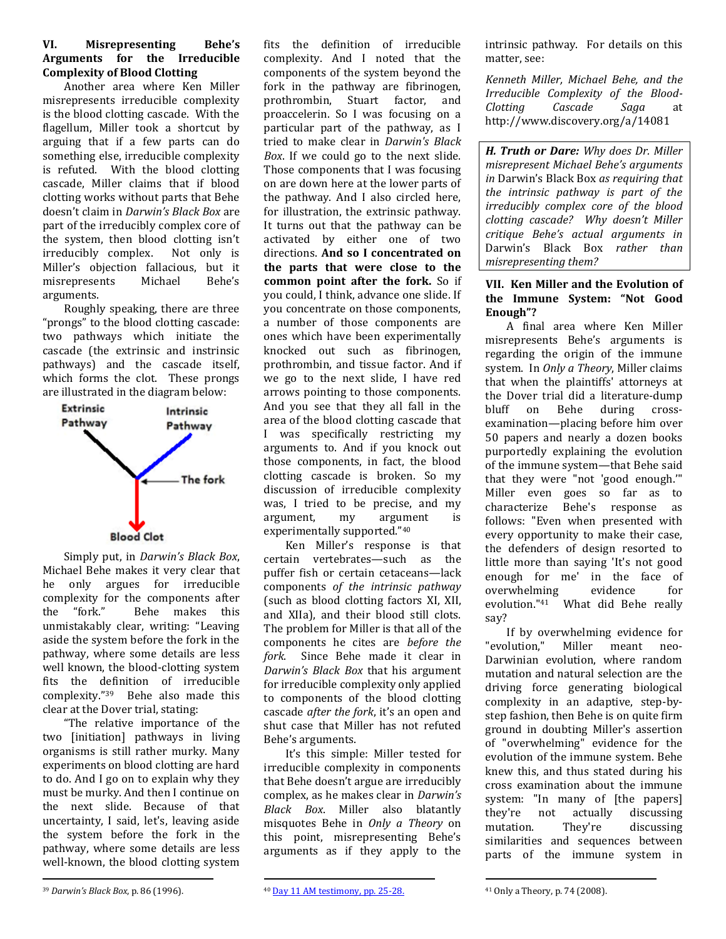# **VI. Misrepresenting Behe's Arguments for the Irreducible Complexity of Blood Clotting**

Another area where Ken Miller misrepresents irreducible complexity is the blood clotting cascade. With the flagellum, Miller took a shortcut by arguing that if a few parts can do something else, irreducible complexity is refuted. With the blood clotting cascade, Miller claims that if blood clotting works without parts that Behe doesn't claim in *Darwin's Black Box* are part of the irreducibly complex core of the system, then blood clotting isn't irreducibly complex. Not only is Miller's objection fallacious, but it misrepresents Michael Behe's arguments.

Roughly speaking, there are three "prongs" to the blood clotting cascade: two pathways which initiate the cascade (the extrinsic and instrinsic pathways) and the cascade itself, which forms the clot. These prongs are illustrated in the diagram below:



Simply put, in *Darwin's Black Box*, Michael Behe makes it very clear that he only argues for irreducible complexity for the components after the "fork." Behe makes this unmistakably clear, writing: "Leaving aside the system before the fork in the pathway, where some details are less well known, the blood-clotting system fits the definition of irreducible complexity."39 Behe also made this clear at the Dover trial, stating:

"The relative importance of the two [initiation] pathways in living organisms is still rather murky. Many experiments on blood clotting are hard to do. And I go on to explain why they must be murky. And then I continue on the next slide. Because of that uncertainty, I said, let's, leaving aside the system before the fork in the pathway, where some details are less well-known, the blood clotting system fits the definition of irreducible complexity. And I noted that the components of the system beyond the fork in the pathway are fibrinogen, prothrombin, Stuart factor, and proaccelerin. So I was focusing on a particular part of the pathway, as I tried to make clear in *Darwin's Black Box*. If we could go to the next slide. Those components that I was focusing on are down here at the lower parts of the pathway. And I also circled here, for illustration, the extrinsic pathway. It turns out that the pathway can be activated by either one of two directions. **And so I concentrated on the parts that were close to the common point after the fork.** So if you could, I think, advance one slide. If you concentrate on those components, a number of those components are ones which have been experimentally knocked out such as fibrinogen, prothrombin, and tissue factor. And if we go to the next slide, I have red arrows pointing to those components. And you see that they all fall in the area of the blood clotting cascade that I was specifically restricting my arguments to. And if you knock out those components, in fact, the blood clotting cascade is broken. So my discussion of irreducible complexity was, I tried to be precise, and my argument, my argument is experimentally supported."<sup>40</sup>

Ken Miller's response is that certain vertebrates—such as the puffer fish or certain cetaceans—lack components *of the intrinsic pathway* (such as blood clotting factors XI, XII, and XIIa), and their blood still clots. The problem for Miller is that all of the components he cites are *before the fork*. Since Behe made it clear in *Darwin's Black Box* that his argument for irreducible complexity only applied to components of the blood clotting cascade *after the fork*, it's an open and shut case that Miller has not refuted Behe's arguments.

It's this simple: Miller tested for irreducible complexity in components that Behe doesn't argue are irreducibly complex, as he makes clear in *Darwin's Black Box*. Miller also blatantly misquotes Behe in *Only a Theory* on this point, misrepresenting Behe's arguments as if they apply to the

intrinsic pathway. For details on this matter, see:

*Kenneth Miller, Michael Behe, and the Irreducible Complexity of the Blood-Clotting Cascade Saga* at http://www.discovery.org/a/14081

*H. Truth or Dare: Why does Dr. Miller misrepresent Michael Behe's arguments in* Darwin's Black Box *as requiring that the intrinsic pathway is part of the irreducibly complex core of the blood clotting cascade? Why doesn't Miller critique Behe's actual arguments in*  Darwin's Black Box *rather than misrepresenting them?* 

# **VII. Ken Miller and the Evolution of the Immune System: "Not Good Enough"?**

A final area where Ken Miller misrepresents Behe's arguments is regarding the origin of the immune system. In *Only a Theory*, Miller claims that when the plaintiffs' attorneys at the Dover trial did a literature-dump bluff on Behe during crossexamination—placing before him over 50 papers and nearly a dozen books purportedly explaining the evolution of the immune system—that Behe said that they were "not 'good enough.'" Miller even goes so far as to characterize Behe's response as follows: "Even when presented with every opportunity to make their case, the defenders of design resorted to little more than saying 'It's not good enough for me' in the face of overwhelming evidence for evolution."41 What did Behe really say?

If by overwhelming evidence for "evolution," Miller meant neo-Darwinian evolution, where random mutation and natural selection are the driving force generating biological complexity in an adaptive, step-bystep fashion, then Behe is on quite firm ground in doubting Miller's assertion of "overwhelming" evidence for the evolution of the immune system. Behe knew this, and thus stated during his cross examination about the immune system: "In many of [the papers] they're not actually discussing mutation. They're discussing similarities and sequences between parts of the immune system in

l

<sup>39</sup> *Darwin's Black Box*, p. 86 (1996).

l <sup>40</sup> [Day 11 AM testimony, pp. 25-28.](http://www.talkorigins.org/faqs/dover/day11am.html)

 $\overline{a}$ <sup>41</sup> Only a Theory, p. 74 (2008).